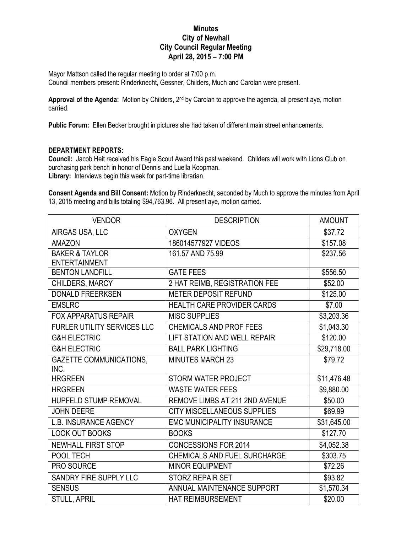## **Minutes City of Newhall City Council Regular Meeting April 28, 2015 – 7:00 PM**

Mayor Mattson called the regular meeting to order at 7:00 p.m. Council members present: Rinderknecht, Gessner, Childers, Much and Carolan were present.

**Approval of the Agenda:** Motion by Childers, 2nd by Carolan to approve the agenda, all present aye, motion carried.

**Public Forum:** Ellen Becker brought in pictures she had taken of different main street enhancements.

## **DEPARTMENT REPORTS:**

**Council:** Jacob Heit received his Eagle Scout Award this past weekend. Childers will work with Lions Club on purchasing park bench in honor of Dennis and Luella Koopman.

**Library:** Interviews begin this week for part-time librarian.

**Consent Agenda and Bill Consent:** Motion by Rinderknecht, seconded by Much to approve the minutes from April 13, 2015 meeting and bills totaling \$94,763.96. All present aye, motion carried.

| <b>VENDOR</b>                          | <b>DESCRIPTION</b>                    | <b>AMOUNT</b> |
|----------------------------------------|---------------------------------------|---------------|
| AIRGAS USA, LLC                        | <b>OXYGEN</b>                         | \$37.72       |
| <b>AMAZON</b>                          | 186014577927 VIDEOS                   | \$157.08      |
| <b>BAKER &amp; TAYLOR</b>              | 161.57 AND 75.99                      | \$237.56      |
| <b>ENTERTAINMENT</b>                   |                                       |               |
| <b>BENTON LANDFILL</b>                 | <b>GATE FEES</b>                      | \$556.50      |
| CHILDERS, MARCY                        | 2 HAT REIMB, REGISTRATION FEE         | \$52.00       |
| <b>DONALD FREERKSEN</b>                | <b>METER DEPOSIT REFUND</b>           | \$125.00      |
| <b>EMSLRC</b>                          | <b>HEALTH CARE PROVIDER CARDS</b>     | \$7.00        |
| <b>FOX APPARATUS REPAIR</b>            | <b>MISC SUPPLIES</b>                  | \$3,203.36    |
| <b>FURLER UTILITY SERVICES LLC</b>     | <b>CHEMICALS AND PROF FEES</b>        | \$1,043.30    |
| <b>G&amp;H ELECTRIC</b>                | <b>LIFT STATION AND WELL REPAIR</b>   | \$120.00      |
| <b>G&amp;H ELECTRIC</b>                | <b>BALL PARK LIGHTING</b>             | \$29,718.00   |
| <b>GAZETTE COMMUNICATIONS,</b><br>INC. | <b>MINUTES MARCH 23</b>               | \$79.72       |
| <b>HRGREEN</b>                         | <b>STORM WATER PROJECT</b>            | \$11,476.48   |
| <b>HRGREEN</b>                         | <b>WASTE WATER FEES</b>               | \$9,880.00    |
| HUPFELD STUMP REMOVAL                  | <b>REMOVE LIMBS AT 211 2ND AVENUE</b> | \$50.00       |
| <b>JOHN DEERE</b>                      | <b>CITY MISCELLANEOUS SUPPLIES</b>    | \$69.99       |
| <b>L.B. INSURANCE AGENCY</b>           | <b>EMC MUNICIPALITY INSURANCE</b>     | \$31,645.00   |
| <b>LOOK OUT BOOKS</b>                  | <b>BOOKS</b>                          | \$127.70      |
| <b>NEWHALL FIRST STOP</b>              | <b>CONCESSIONS FOR 2014</b>           | \$4,052.38    |
| POOL TECH                              | <b>CHEMICALS AND FUEL SURCHARGE</b>   | \$303.75      |
| PRO SOURCE                             | <b>MINOR EQUIPMENT</b>                | \$72.26       |
| <b>SANDRY FIRE SUPPLY LLC</b>          | <b>STORZ REPAIR SET</b>               | \$93.82       |
| <b>SENSUS</b>                          | ANNUAL MAINTENANCE SUPPORT            | \$1,570.34    |
| <b>STULL, APRIL</b>                    | <b>HAT REIMBURSEMENT</b>              | \$20.00       |